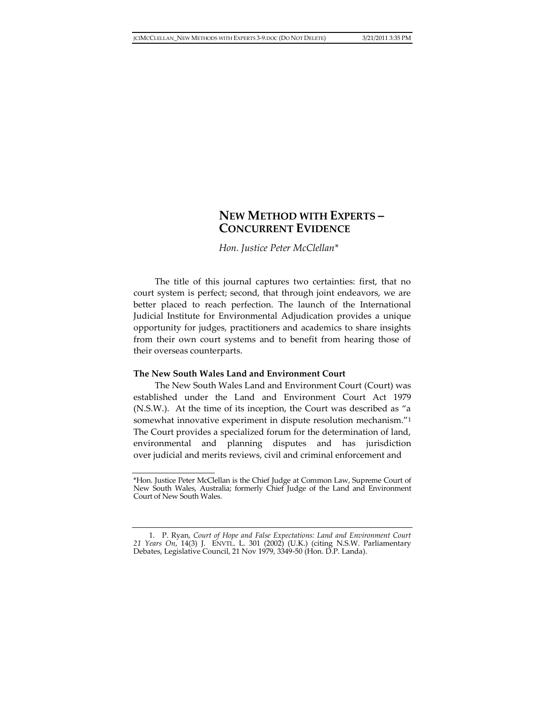# **NEW METHOD WITH EXPERTS – CONCURRENT EVIDENCE**

*Hon. Justice Peter McClellan\**

The title of this journal captures two certainties: first, that no court system is perfect; second, that through joint endeavors, we are better placed to reach perfection. The launch of the International Judicial Institute for Environmental Adjudication provides a unique opportunity for judges, practitioners and academics to share insights from their own court systems and to benefit from hearing those of their overseas counterparts.

#### **The New South Wales Land and Environment Court**

The New South Wales Land and Environment Court (Court) was established under the Land and Environment Court Act 1979 (N.S.W.). At the time of its inception, the Court was described as "a somewhat innovative experiment in dispute resolution mechanism."<sup>1</sup> The Court provides a specialized forum for the determination of land, environmental and planning disputes and has jurisdiction over judicial and merits reviews, civil and criminal enforcement and

<sup>\*</sup>Hon. Justice Peter McClellan is the Chief Judge at Common Law, Supreme Court of New South Wales, Australia; formerly Chief Judge of the Land and Environment Court of New South Wales.

<sup>1.</sup> P. Ryan, *Court of Hope and False Expectations: Land and Environment Court 21 Years On*, 14(3) J. ENVTL. L. 301 (2002) (U.K.) (citing N.S.W. Parliamentary Debates, Legislative Council, 21 Nov 1979, 3349-50 (Hon. D.P. Landa).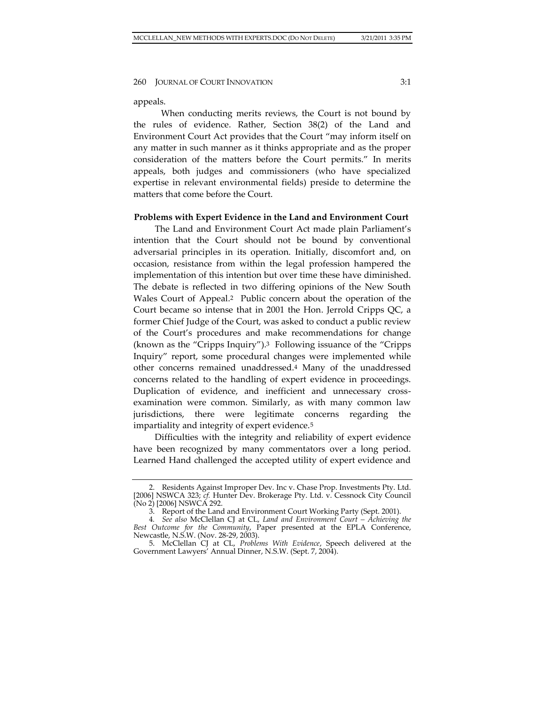appeals.

When conducting merits reviews, the Court is not bound by the rules of evidence. Rather, Section 38(2) of the Land and Environment Court Act provides that the Court "may inform itself on any matter in such manner as it thinks appropriate and as the proper consideration of the matters before the Court permits." In merits appeals, both judges and commissioners (who have specialized expertise in relevant environmental fields) preside to determine the matters that come before the Court.

## **Problems with Expert Evidence in the Land and Environment Court**

The Land and Environment Court Act made plain Parliament's intention that the Court should not be bound by conventional adversarial principles in its operation. Initially, discomfort and, on occasion, resistance from within the legal profession hampered the implementation of this intention but over time these have diminished. The debate is reflected in two differing opinions of the New South Wales Court of Appeal.2 Public concern about the operation of the Court became so intense that in 2001 the Hon. Jerrold Cripps QC, a former Chief Judge of the Court, was asked to conduct a public review of the Court's procedures and make recommendations for change (known as the "Cripps Inquiry").3 Following issuance of the "Cripps Inquiry" report, some procedural changes were implemented while other concerns remained unaddressed.<sup>4</sup> Many of the unaddressed concerns related to the handling of expert evidence in proceedings. Duplication of evidence, and inefficient and unnecessary crossexamination were common. Similarly, as with many common law jurisdictions, there were legitimate concerns regarding the impartiality and integrity of expert evidence.<sup>5</sup>

Difficulties with the integrity and reliability of expert evidence have been recognized by many commentators over a long period. Learned Hand challenged the accepted utility of expert evidence and

<sup>2.</sup> Residents Against Improper Dev. Inc v. Chase Prop. Investments Pty. Ltd. [2006] NSWCA 323; cf. Hunter Dev. Brokerage Pty. Ltd. v. Cessnock City Council (No 2) [2006] NSWCA 292.

<sup>3.</sup> Report of the Land and Environment Court Working Party (Sept. 2001).

<sup>4</sup>*. See also* McClellan CJ at CL, *Land and Environment Court – Achieving the Best Outcome for the Community*, Paper presented at the EPLA Conference, Newcastle, N.S.W. (Nov. 28-29, 2003).

<sup>5.</sup> McClellan CJ at CL, *Problems With Evidence*, Speech delivered at the Government Lawyers' Annual Dinner, N.S.W. (Sept. 7, 2004).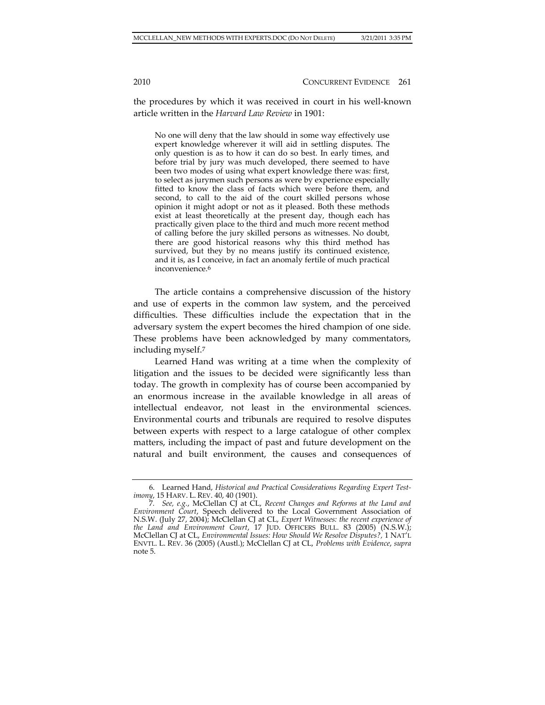the procedures by which it was received in court in his well-known article written in the *Harvard Law Review* in 1901:

No one will deny that the law should in some way effectively use expert knowledge wherever it will aid in settling disputes. The only question is as to how it can do so best. In early times, and before trial by jury was much developed, there seemed to have been two modes of using what expert knowledge there was: first, to select as jurymen such persons as were by experience especially fitted to know the class of facts which were before them, and second, to call to the aid of the court skilled persons whose opinion it might adopt or not as it pleased. Both these methods exist at least theoretically at the present day, though each has practically given place to the third and much more recent method of calling before the jury skilled persons as witnesses. No doubt, there are good historical reasons why this third method has survived, but they by no means justify its continued existence, and it is, as I conceive, in fact an anomaly fertile of much practical inconvenience.6

The article contains a comprehensive discussion of the history and use of experts in the common law system, and the perceived difficulties. These difficulties include the expectation that in the adversary system the expert becomes the hired champion of one side. These problems have been acknowledged by many commentators, including myself.<sup>7</sup>

Learned Hand was writing at a time when the complexity of litigation and the issues to be decided were significantly less than today. The growth in complexity has of course been accompanied by an enormous increase in the available knowledge in all areas of intellectual endeavor, not least in the environmental sciences. Environmental courts and tribunals are required to resolve disputes between experts with respect to a large catalogue of other complex matters, including the impact of past and future development on the natural and built environment, the causes and consequences of

<sup>6.</sup> Learned Hand, *Historical and Practical Considerations Regarding Expert Testimony*, 15 HARV. L. REV. 40, 40 (1901).

<sup>7</sup>*. See, e.g.*, McClellan CJ at CL, *Recent Changes and Reforms at the Land and Environment Court*, Speech delivered to the Local Government Association of N.S.W. (July 27, 2004); McClellan CJ at CL, *Expert Witnesses: the recent experience of the Land and Environment Court*, 17 JUD. OFFICERS BULL. 83 (2005) (N.S.W.); McClellan CJ at CL, *Environmental Issues: How Should We Resolve Disputes?,* 1 NAT'L ENVTL. L. REV. 36 (2005) (Austl.); McClellan CJ at CL, *Problems with Evidence*, *supra* note 5.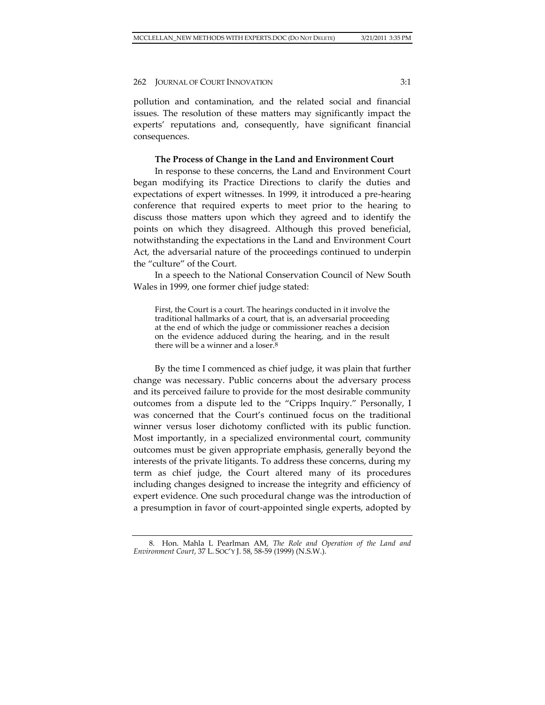pollution and contamination, and the related social and financial issues. The resolution of these matters may significantly impact the experts' reputations and, consequently, have significant financial consequences.

#### **The Process of Change in the Land and Environment Court**

In response to these concerns, the Land and Environment Court began modifying its Practice Directions to clarify the duties and expectations of expert witnesses. In 1999, it introduced a pre-hearing conference that required experts to meet prior to the hearing to discuss those matters upon which they agreed and to identify the points on which they disagreed. Although this proved beneficial, notwithstanding the expectations in the Land and Environment Court Act, the adversarial nature of the proceedings continued to underpin the "culture" of the Court.

In a speech to the National Conservation Council of New South Wales in 1999, one former chief judge stated:

First, the Court is a court. The hearings conducted in it involve the traditional hallmarks of a court, that is, an adversarial proceeding at the end of which the judge or commissioner reaches a decision on the evidence adduced during the hearing, and in the result there will be a winner and a loser. $8$ 

By the time I commenced as chief judge, it was plain that further change was necessary. Public concerns about the adversary process and its perceived failure to provide for the most desirable community outcomes from a dispute led to the "Cripps Inquiry." Personally, I was concerned that the Court's continued focus on the traditional winner versus loser dichotomy conflicted with its public function. Most importantly, in a specialized environmental court, community outcomes must be given appropriate emphasis, generally beyond the interests of the private litigants. To address these concerns, during my term as chief judge, the Court altered many of its procedures including changes designed to increase the integrity and efficiency of expert evidence. One such procedural change was the introduction of a presumption in favor of court-appointed single experts, adopted by

<sup>8.</sup> Hon. Mahla L Pearlman AM, *The Role and Operation of the Land and Environment Court*, 37 L. SOC'Y J. 58, 58-59 (1999) (N.S.W.).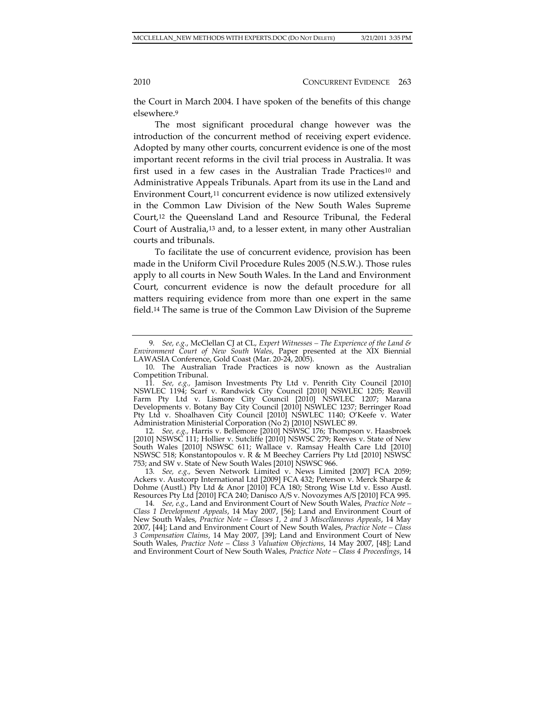the Court in March 2004. I have spoken of the benefits of this change elsewhere.<sup>9</sup>

The most significant procedural change however was the introduction of the concurrent method of receiving expert evidence. Adopted by many other courts, concurrent evidence is one of the most important recent reforms in the civil trial process in Australia. It was first used in a few cases in the Australian Trade Practices<sup>10</sup> and Administrative Appeals Tribunals. Apart from its use in the Land and Environment Court,<sup>11</sup> concurrent evidence is now utilized extensively in the Common Law Division of the New South Wales Supreme Court,<sup>12</sup> the Queensland Land and Resource Tribunal, the Federal Court of Australia,<sup>13</sup> and, to a lesser extent, in many other Australian courts and tribunals.

To facilitate the use of concurrent evidence, provision has been made in the Uniform Civil Procedure Rules 2005 (N.S.W.). Those rules apply to all courts in New South Wales. In the Land and Environment Court, concurrent evidence is now the default procedure for all matters requiring evidence from more than one expert in the same field.<sup>14</sup> The same is true of the Common Law Division of the Supreme

13*. See, e.g.,* Seven Network Limited v. News Limited [2007] FCA 2059; Ackers v. Austcorp International Ltd [2009] FCA 432; Peterson v. Merck Sharpe & Dohme (Austl.) Pty Ltd & Anor [2010] FCA 180; Strong Wise Ltd v. Esso Austl. Resources Pty Ltd [2010] FCA 240; Danisco A/S v. Novozymes A/S [2010] FCA 995.

<sup>9</sup>*. See, e.g.*, McClellan CJ at CL, *Expert Witnesses – The Experience of the Land & Environment Court of New South Wales*, Paper presented at the XIX Biennial LAWASIA Conference, Gold Coast (Mar. 20-24, 2005).

<sup>10.</sup> The Australian Trade Practices is now known as the Australian Competition Tribunal.

<sup>11</sup>*. See, e.g.,* Jamison Investments Pty Ltd v. Penrith City Council [2010] NSWLEC 1194; Scarf v. Randwick City Council [2010] NSWLEC 1205; Reavill Farm Pty Ltd v. Lismore City Council [2010] NSWLEC 1207; Marana Developments v. Botany Bay City Council [2010] NSWLEC 1237; Berringer Road Pty Ltd v. Shoalhaven City Council [2010] NSWLEC 1140; O'Keefe v. Water Administration Ministerial Corporation (No 2) [2010] NSWLEC 89.

<sup>12</sup>*. See, e.g.,* Harris v. Bellemore [2010] NSWSC 176; Thompson v. Haasbroek [2010] NSWSC 111; Hollier v. Sutcliffe [2010] NSWSC 279; Reeves v. State of New South Wales [2010] NSWSC 611; Wallace v. Ramsay Health Care Ltd [2010] NSWSC 518; Konstantopoulos v. R & M Beechey Carriers Pty Ltd [2010] NSWSC 753; and SW v. State of New South Wales [2010] NSWSC 966.

<sup>14</sup>*. See, e.g.*, Land and Environment Court of New South Wales, *Practice Note – Class 1 Development Appeals*, 14 May 2007, [56]; Land and Environment Court of New South Wales, *Practice Note – Classes 1, 2 and 3 Miscellaneous Appeals*, 14 May 2007, [44]; Land and Environment Court of New South Wales, *Practice Note – Class 3 Compensation Claims*, 14 May 2007, [39]; Land and Environment Court of New South Wales, *Practice Note – Class 3 Valuation Objections*, 14 May 2007, [48]; Land and Environment Court of New South Wales, *Practice Note – Class 4 Proceedings*, 14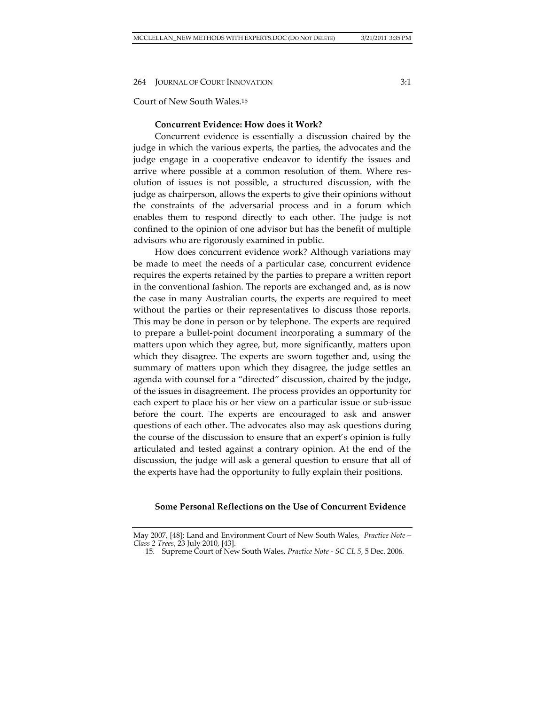#### Court of New South Wales.<sup>15</sup>

# **Concurrent Evidence: How does it Work?**

Concurrent evidence is essentially a discussion chaired by the judge in which the various experts, the parties, the advocates and the judge engage in a cooperative endeavor to identify the issues and arrive where possible at a common resolution of them. Where resolution of issues is not possible, a structured discussion, with the judge as chairperson, allows the experts to give their opinions without the constraints of the adversarial process and in a forum which enables them to respond directly to each other. The judge is not confined to the opinion of one advisor but has the benefit of multiple advisors who are rigorously examined in public.

How does concurrent evidence work? Although variations may be made to meet the needs of a particular case, concurrent evidence requires the experts retained by the parties to prepare a written report in the conventional fashion. The reports are exchanged and, as is now the case in many Australian courts, the experts are required to meet without the parties or their representatives to discuss those reports. This may be done in person or by telephone. The experts are required to prepare a bullet-point document incorporating a summary of the matters upon which they agree, but, more significantly, matters upon which they disagree. The experts are sworn together and, using the summary of matters upon which they disagree, the judge settles an agenda with counsel for a "directed" discussion, chaired by the judge, of the issues in disagreement. The process provides an opportunity for each expert to place his or her view on a particular issue or sub-issue before the court. The experts are encouraged to ask and answer questions of each other. The advocates also may ask questions during the course of the discussion to ensure that an expert's opinion is fully articulated and tested against a contrary opinion. At the end of the discussion, the judge will ask a general question to ensure that all of the experts have had the opportunity to fully explain their positions.

#### **Some Personal Reflections on the Use of Concurrent Evidence**

May 2007, [48]; Land and Environment Court of New South Wales, *Practice Note – Class 2 Trees*, 23 July 2010, [43].

<sup>15.</sup> Supreme Court of New South Wales, *Practice Note - SC CL 5*, 5 Dec. 2006*.*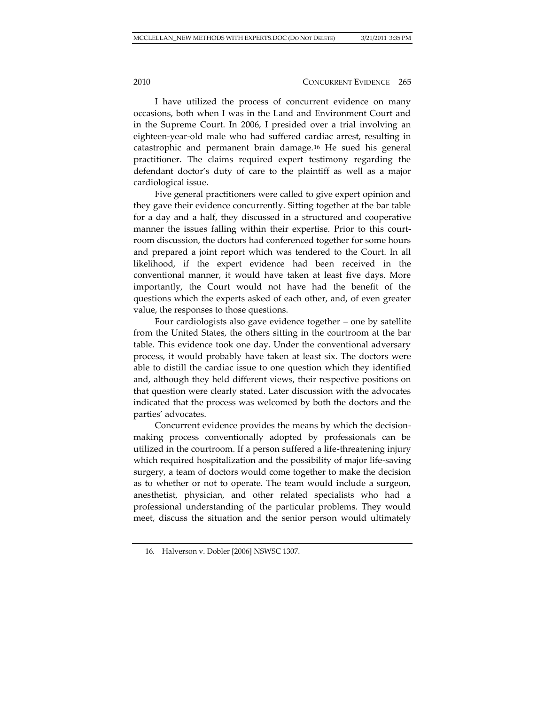I have utilized the process of concurrent evidence on many occasions, both when I was in the Land and Environment Court and in the Supreme Court. In 2006, I presided over a trial involving an eighteen-year-old male who had suffered cardiac arrest, resulting in catastrophic and permanent brain damage.<sup>16</sup> He sued his general practitioner. The claims required expert testimony regarding the defendant doctor's duty of care to the plaintiff as well as a major cardiological issue.

Five general practitioners were called to give expert opinion and they gave their evidence concurrently. Sitting together at the bar table for a day and a half, they discussed in a structured and cooperative manner the issues falling within their expertise. Prior to this courtroom discussion, the doctors had conferenced together for some hours and prepared a joint report which was tendered to the Court. In all likelihood, if the expert evidence had been received in the conventional manner, it would have taken at least five days. More importantly, the Court would not have had the benefit of the questions which the experts asked of each other, and, of even greater value, the responses to those questions.

Four cardiologists also gave evidence together – one by satellite from the United States, the others sitting in the courtroom at the bar table. This evidence took one day. Under the conventional adversary process, it would probably have taken at least six. The doctors were able to distill the cardiac issue to one question which they identified and, although they held different views, their respective positions on that question were clearly stated. Later discussion with the advocates indicated that the process was welcomed by both the doctors and the parties' advocates.

Concurrent evidence provides the means by which the decisionmaking process conventionally adopted by professionals can be utilized in the courtroom. If a person suffered a life-threatening injury which required hospitalization and the possibility of major life-saving surgery, a team of doctors would come together to make the decision as to whether or not to operate. The team would include a surgeon, anesthetist, physician, and other related specialists who had a professional understanding of the particular problems. They would meet, discuss the situation and the senior person would ultimately

<sup>16</sup>*.* Halverson v. Dobler [2006] NSWSC 1307.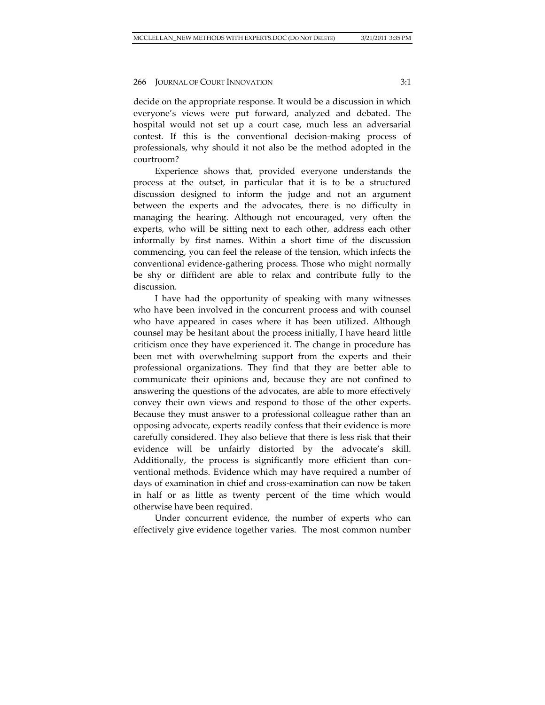decide on the appropriate response. It would be a discussion in which everyone's views were put forward, analyzed and debated. The hospital would not set up a court case, much less an adversarial contest. If this is the conventional decision-making process of professionals, why should it not also be the method adopted in the courtroom?

Experience shows that, provided everyone understands the process at the outset, in particular that it is to be a structured discussion designed to inform the judge and not an argument between the experts and the advocates, there is no difficulty in managing the hearing. Although not encouraged, very often the experts, who will be sitting next to each other, address each other informally by first names. Within a short time of the discussion commencing, you can feel the release of the tension, which infects the conventional evidence-gathering process. Those who might normally be shy or diffident are able to relax and contribute fully to the discussion.

I have had the opportunity of speaking with many witnesses who have been involved in the concurrent process and with counsel who have appeared in cases where it has been utilized. Although counsel may be hesitant about the process initially, I have heard little criticism once they have experienced it. The change in procedure has been met with overwhelming support from the experts and their professional organizations. They find that they are better able to communicate their opinions and, because they are not confined to answering the questions of the advocates, are able to more effectively convey their own views and respond to those of the other experts. Because they must answer to a professional colleague rather than an opposing advocate, experts readily confess that their evidence is more carefully considered. They also believe that there is less risk that their evidence will be unfairly distorted by the advocate's skill. Additionally, the process is significantly more efficient than conventional methods. Evidence which may have required a number of days of examination in chief and cross-examination can now be taken in half or as little as twenty percent of the time which would otherwise have been required.

Under concurrent evidence, the number of experts who can effectively give evidence together varies. The most common number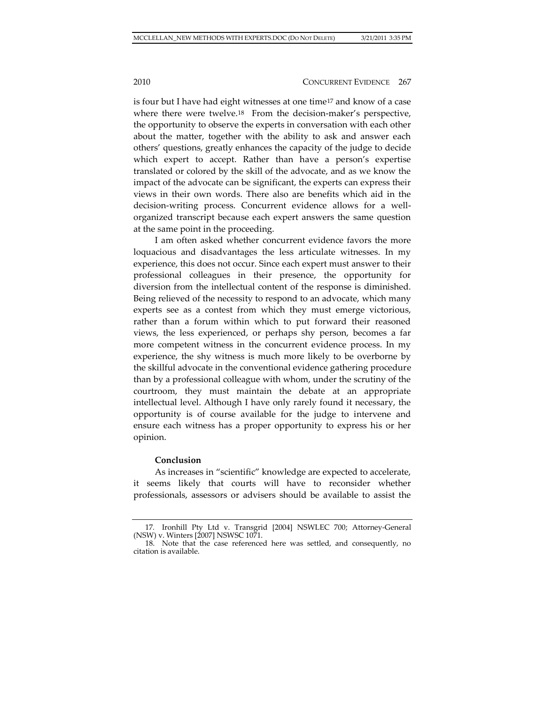is four but I have had eight witnesses at one time<sup>17</sup> and know of a case where there were twelve.18 From the decision-maker's perspective, the opportunity to observe the experts in conversation with each other about the matter, together with the ability to ask and answer each others' questions, greatly enhances the capacity of the judge to decide which expert to accept. Rather than have a person's expertise translated or colored by the skill of the advocate, and as we know the impact of the advocate can be significant, the experts can express their views in their own words. There also are benefits which aid in the decision-writing process. Concurrent evidence allows for a wellorganized transcript because each expert answers the same question at the same point in the proceeding.

I am often asked whether concurrent evidence favors the more loquacious and disadvantages the less articulate witnesses. In my experience, this does not occur. Since each expert must answer to their professional colleagues in their presence, the opportunity for diversion from the intellectual content of the response is diminished. Being relieved of the necessity to respond to an advocate, which many experts see as a contest from which they must emerge victorious, rather than a forum within which to put forward their reasoned views, the less experienced, or perhaps shy person, becomes a far more competent witness in the concurrent evidence process. In my experience, the shy witness is much more likely to be overborne by the skillful advocate in the conventional evidence gathering procedure than by a professional colleague with whom, under the scrutiny of the courtroom, they must maintain the debate at an appropriate intellectual level. Although I have only rarely found it necessary, the opportunity is of course available for the judge to intervene and ensure each witness has a proper opportunity to express his or her opinion.

### **Conclusion**

As increases in "scientific" knowledge are expected to accelerate, it seems likely that courts will have to reconsider whether professionals, assessors or advisers should be available to assist the

<sup>17</sup>*.* Ironhill Pty Ltd v. Transgrid [2004] NSWLEC 700; Attorney-General (NSW) v. Winters [2007] NSWSC 1071.

<sup>18.</sup> Note that the case referenced here was settled, and consequently, no citation is available.